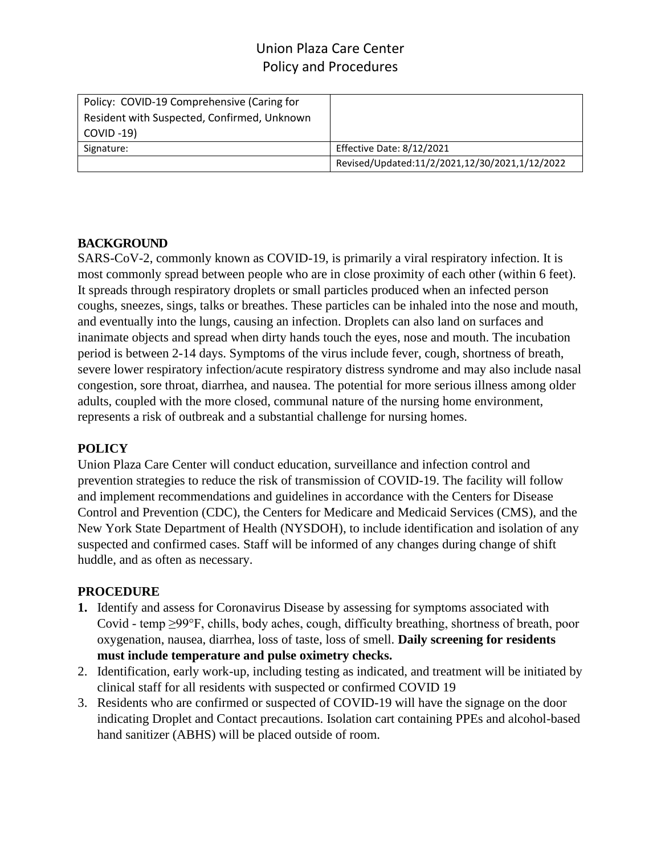| Policy: COVID-19 Comprehensive (Caring for  |                                                |
|---------------------------------------------|------------------------------------------------|
| Resident with Suspected, Confirmed, Unknown |                                                |
| $COVID -19$                                 |                                                |
| Signature:                                  | Effective Date: 8/12/2021                      |
|                                             | Revised/Updated:11/2/2021,12/30/2021,1/12/2022 |

### **BACKGROUND**

SARS-CoV-2, commonly known as COVID-19, is primarily a viral respiratory infection. It is most commonly spread between people who are in close proximity of each other (within 6 feet). It spreads through respiratory droplets or small particles produced when an infected person coughs, sneezes, sings, talks or breathes. These particles can be inhaled into the nose and mouth, and eventually into the lungs, causing an infection. Droplets can also land on surfaces and inanimate objects and spread when dirty hands touch the eyes, nose and mouth. The incubation period is between 2-14 days. Symptoms of the virus include fever, cough, shortness of breath, severe lower respiratory infection/acute respiratory distress syndrome and may also include nasal congestion, sore throat, diarrhea, and nausea. The potential for more serious illness among older adults, coupled with the more closed, communal nature of the nursing home environment, represents a risk of outbreak and a substantial challenge for nursing homes.

### **POLICY**

Union Plaza Care Center will conduct education, surveillance and infection control and prevention strategies to reduce the risk of transmission of COVID-19. The facility will follow and implement recommendations and guidelines in accordance with the Centers for Disease Control and Prevention (CDC), the Centers for Medicare and Medicaid Services (CMS), and the New York State Department of Health (NYSDOH), to include identification and isolation of any suspected and confirmed cases. Staff will be informed of any changes during change of shift huddle, and as often as necessary.

#### **PROCEDURE**

- **1.** Identify and assess for Coronavirus Disease by assessing for symptoms associated with Covid - temp ≥99°F, chills, body aches, cough, difficulty breathing, shortness of breath, poor oxygenation, nausea, diarrhea, loss of taste, loss of smell. **Daily screening for residents must include temperature and pulse oximetry checks.**
- 2. Identification, early work-up, including testing as indicated, and treatment will be initiated by clinical staff for all residents with suspected or confirmed COVID 19
- 3. Residents who are confirmed or suspected of COVID-19 will have the signage on the door indicating Droplet and Contact precautions. Isolation cart containing PPEs and alcohol-based hand sanitizer (ABHS) will be placed outside of room.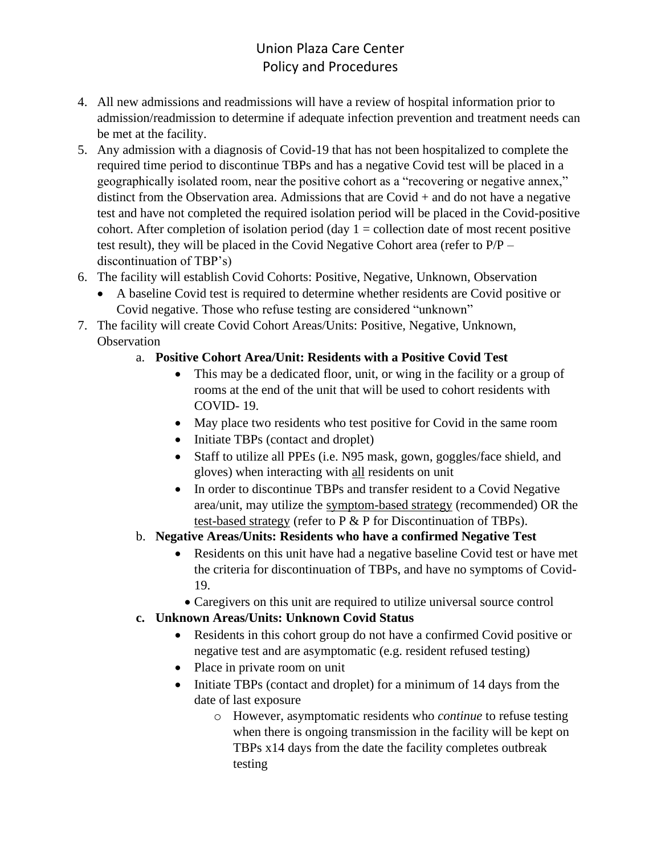- 4. All new admissions and readmissions will have a review of hospital information prior to admission/readmission to determine if adequate infection prevention and treatment needs can be met at the facility.
- 5. Any admission with a diagnosis of Covid-19 that has not been hospitalized to complete the required time period to discontinue TBPs and has a negative Covid test will be placed in a geographically isolated room, near the positive cohort as a "recovering or negative annex," distinct from the Observation area. Admissions that are Covid + and do not have a negative test and have not completed the required isolation period will be placed in the Covid-positive cohort. After completion of isolation period (day  $1 =$  collection date of most recent positive test result), they will be placed in the Covid Negative Cohort area (refer to P/P – discontinuation of TBP's)
- 6. The facility will establish Covid Cohorts: Positive, Negative, Unknown, Observation
	- A baseline Covid test is required to determine whether residents are Covid positive or Covid negative. Those who refuse testing are considered "unknown"
- 7. The facility will create Covid Cohort Areas/Units: Positive, Negative, Unknown, **Observation**

## a. **Positive Cohort Area/Unit: Residents with a Positive Covid Test**

- This may be a dedicated floor, unit, or wing in the facility or a group of rooms at the end of the unit that will be used to cohort residents with COVID- 19.
- May place two residents who test positive for Covid in the same room
- Initiate TBPs (contact and droplet)
- Staff to utilize all PPEs (i.e. N95 mask, gown, goggles/face shield, and gloves) when interacting with all residents on unit
- In order to discontinue TBPs and transfer resident to a Covid Negative area/unit, may utilize the symptom-based strategy (recommended) OR the test-based strategy (refer to P & P for Discontinuation of TBPs).
- b. **Negative Areas/Units: Residents who have a confirmed Negative Test**
	- Residents on this unit have had a negative baseline Covid test or have met the criteria for discontinuation of TBPs, and have no symptoms of Covid-19.
		- Caregivers on this unit are required to utilize universal source control
- **c. Unknown Areas/Units: Unknown Covid Status**
	- Residents in this cohort group do not have a confirmed Covid positive or negative test and are asymptomatic (e.g. resident refused testing)
	- Place in private room on unit
	- Initiate TBPs (contact and droplet) for a minimum of 14 days from the date of last exposure
		- o However, asymptomatic residents who *continue* to refuse testing when there is ongoing transmission in the facility will be kept on TBPs x14 days from the date the facility completes outbreak testing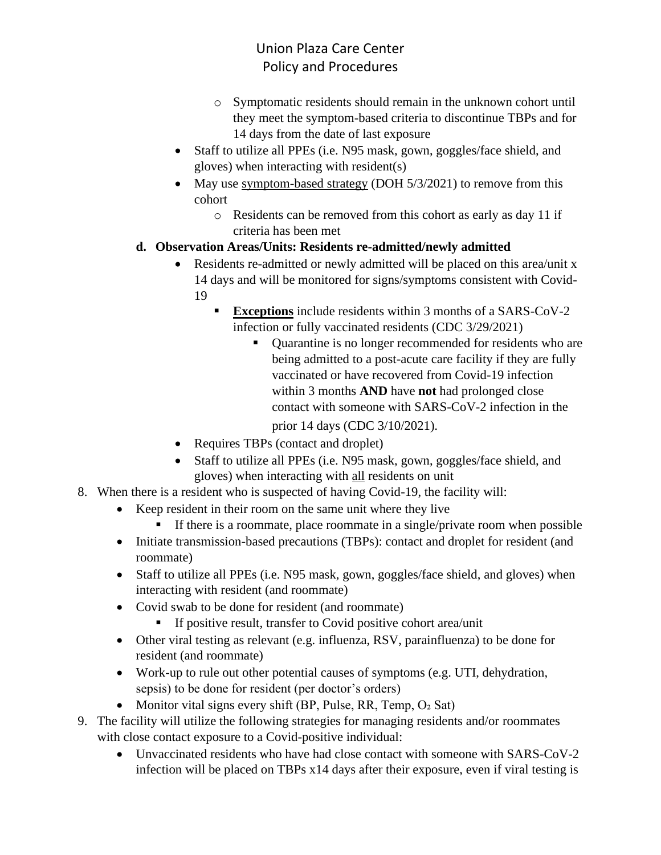- o Symptomatic residents should remain in the unknown cohort until they meet the symptom-based criteria to discontinue TBPs and for 14 days from the date of last exposure
- Staff to utilize all PPEs (i.e. N95 mask, gown, goggles/face shield, and gloves) when interacting with resident(s)
- May use symptom-based strategy (DOH 5/3/2021) to remove from this cohort
	- o Residents can be removed from this cohort as early as day 11 if criteria has been met

## **d. Observation Areas/Units: Residents re-admitted/newly admitted**

- Residents re-admitted or newly admitted will be placed on this area/unit x 14 days and will be monitored for signs/symptoms consistent with Covid-19
	- **Exceptions** include residents within 3 months of a SARS-CoV-2 infection or fully vaccinated residents (CDC 3/29/2021)
		- Quarantine is no longer recommended for residents who are being admitted to a post-acute care facility if they are fully vaccinated or have recovered from Covid-19 infection within 3 months **AND** have **not** had prolonged close contact with someone with SARS-CoV-2 infection in the prior 14 days (CDC 3/10/2021).
- Requires TBPs (contact and droplet)
- Staff to utilize all PPEs (i.e. N95 mask, gown, goggles/face shield, and gloves) when interacting with all residents on unit
- 8. When there is a resident who is suspected of having Covid-19, the facility will:
	- Keep resident in their room on the same unit where they live
		- **•** If there is a roommate, place roommate in a single/private room when possible
	- Initiate transmission-based precautions (TBPs): contact and droplet for resident (and roommate)
	- Staff to utilize all PPEs (i.e. N95 mask, gown, goggles/face shield, and gloves) when interacting with resident (and roommate)
	- Covid swab to be done for resident (and roommate)
		- **If positive result, transfer to Covid positive cohort area/unit**
	- Other viral testing as relevant (e.g. influenza, RSV, parainfluenza) to be done for resident (and roommate)
	- Work-up to rule out other potential causes of symptoms (e.g. UTI, dehydration, sepsis) to be done for resident (per doctor's orders)
	- Monitor vital signs every shift (BP, Pulse, RR, Temp,  $O<sub>2</sub>$  Sat)
- 9. The facility will utilize the following strategies for managing residents and/or roommates with close contact exposure to a Covid-positive individual:
	- Unvaccinated residents who have had close contact with someone with SARS-CoV-2 infection will be placed on TBPs x14 days after their exposure, even if viral testing is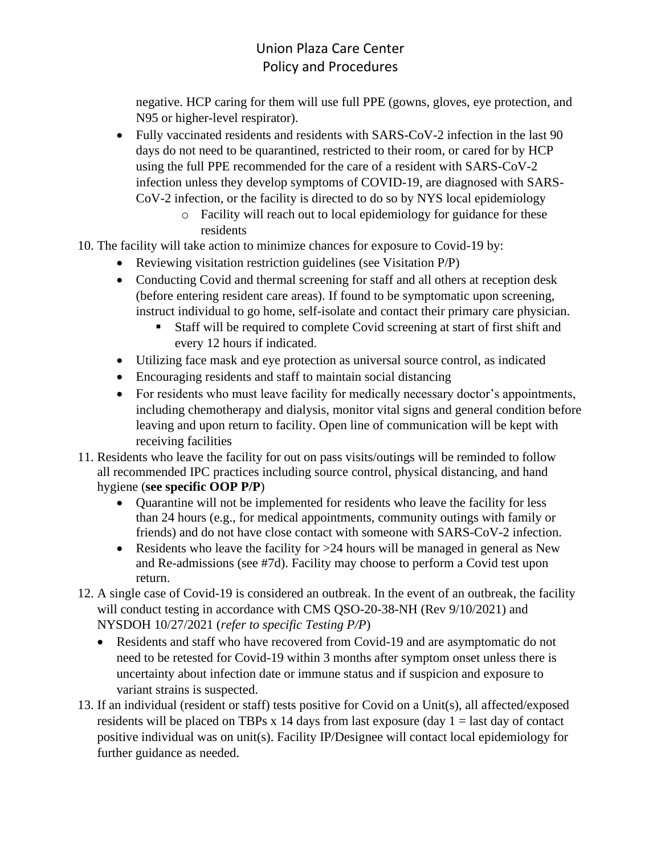negative. HCP caring for them will use full PPE (gowns, gloves, eye protection, and N95 or higher-level respirator).

- Fully vaccinated residents and residents with SARS-CoV-2 infection in the last 90 days do not need to be quarantined, restricted to their room, or cared for by HCP using the full PPE recommended for the care of a resident with SARS-CoV-2 infection unless they develop symptoms of COVID-19, are diagnosed with SARS-CoV-2 infection, or the facility is directed to do so by NYS local epidemiology
	- o Facility will reach out to local epidemiology for guidance for these residents
- 10. The facility will take action to minimize chances for exposure to Covid-19 by:
	- Reviewing visitation restriction guidelines (see Visitation P/P)
	- Conducting Covid and thermal screening for staff and all others at reception desk (before entering resident care areas). If found to be symptomatic upon screening, instruct individual to go home, self-isolate and contact their primary care physician.
		- Staff will be required to complete Covid screening at start of first shift and every 12 hours if indicated.
	- Utilizing face mask and eye protection as universal source control, as indicated
	- Encouraging residents and staff to maintain social distancing
	- For residents who must leave facility for medically necessary doctor's appointments, including chemotherapy and dialysis, monitor vital signs and general condition before leaving and upon return to facility. Open line of communication will be kept with receiving facilities
- 11. Residents who leave the facility for out on pass visits/outings will be reminded to follow all recommended IPC practices including source control, physical distancing, and hand hygiene (**see specific OOP P/P**)
	- Ouarantine will not be implemented for residents who leave the facility for less than 24 hours (e.g., for medical appointments, community outings with family or friends) and do not have close contact with someone with SARS-CoV-2 infection.
	- Residents who leave the facility for >24 hours will be managed in general as New and Re-admissions (see #7d). Facility may choose to perform a Covid test upon return.
- 12. A single case of Covid-19 is considered an outbreak. In the event of an outbreak, the facility will conduct testing in accordance with CMS QSO-20-38-NH (Rev 9/10/2021) and NYSDOH 10/27/2021 (*refer to specific Testing P/P*)
	- Residents and staff who have recovered from Covid-19 and are asymptomatic do not need to be retested for Covid-19 within 3 months after symptom onset unless there is uncertainty about infection date or immune status and if suspicion and exposure to variant strains is suspected.
- 13. If an individual (resident or staff) tests positive for Covid on a Unit(s), all affected/exposed residents will be placed on TBPs x 14 days from last exposure (day  $1 =$  last day of contact positive individual was on unit(s). Facility IP/Designee will contact local epidemiology for further guidance as needed.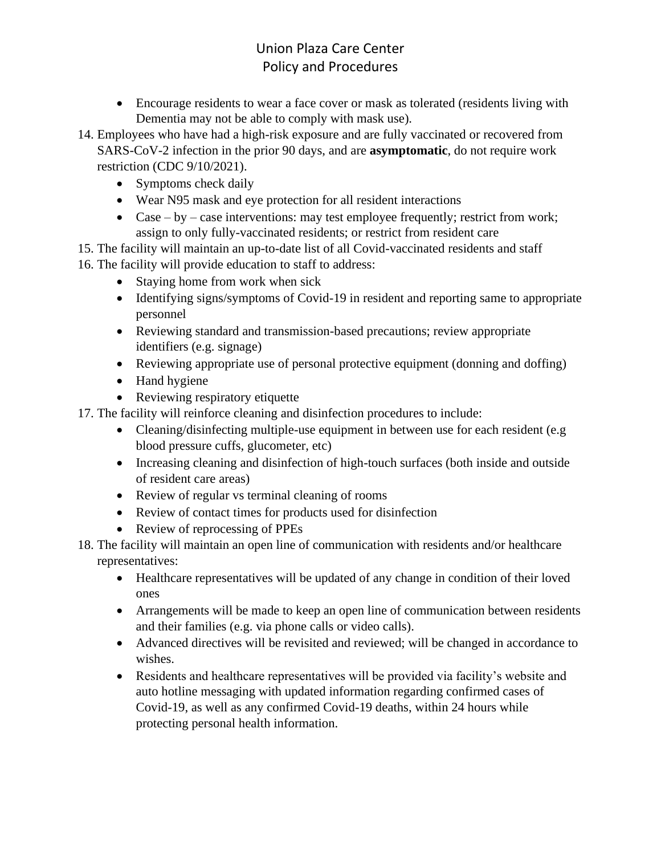- Encourage residents to wear a face cover or mask as tolerated (residents living with Dementia may not be able to comply with mask use).
- 14. Employees who have had a high-risk exposure and are fully vaccinated or recovered from

SARS-CoV-2 infection in the prior 90 days, and are **asymptomatic**, do not require work restriction (CDC 9/10/2021).

- Symptoms check daily
- Wear N95 mask and eye protection for all resident interactions
- Case by case interventions: may test employee frequently; restrict from work; assign to only fully-vaccinated residents; or restrict from resident care
- 15. The facility will maintain an up-to-date list of all Covid-vaccinated residents and staff

16. The facility will provide education to staff to address:

- Staying home from work when sick
- Identifying signs/symptoms of Covid-19 in resident and reporting same to appropriate personnel
- Reviewing standard and transmission-based precautions; review appropriate identifiers (e.g. signage)
- Reviewing appropriate use of personal protective equipment (donning and doffing)
- Hand hygiene
- Reviewing respiratory etiquette
- 17. The facility will reinforce cleaning and disinfection procedures to include:
	- Cleaning/disinfecting multiple-use equipment in between use for each resident (e.g. blood pressure cuffs, glucometer, etc)
	- Increasing cleaning and disinfection of high-touch surfaces (both inside and outside of resident care areas)
	- Review of regular vs terminal cleaning of rooms
	- Review of contact times for products used for disinfection
	- Review of reprocessing of PPEs
- 18. The facility will maintain an open line of communication with residents and/or healthcare representatives:
	- Healthcare representatives will be updated of any change in condition of their loved ones
	- Arrangements will be made to keep an open line of communication between residents and their families (e.g. via phone calls or video calls).
	- Advanced directives will be revisited and reviewed; will be changed in accordance to wishes.
	- Residents and healthcare representatives will be provided via facility's website and auto hotline messaging with updated information regarding confirmed cases of Covid-19, as well as any confirmed Covid-19 deaths, within 24 hours while protecting personal health information.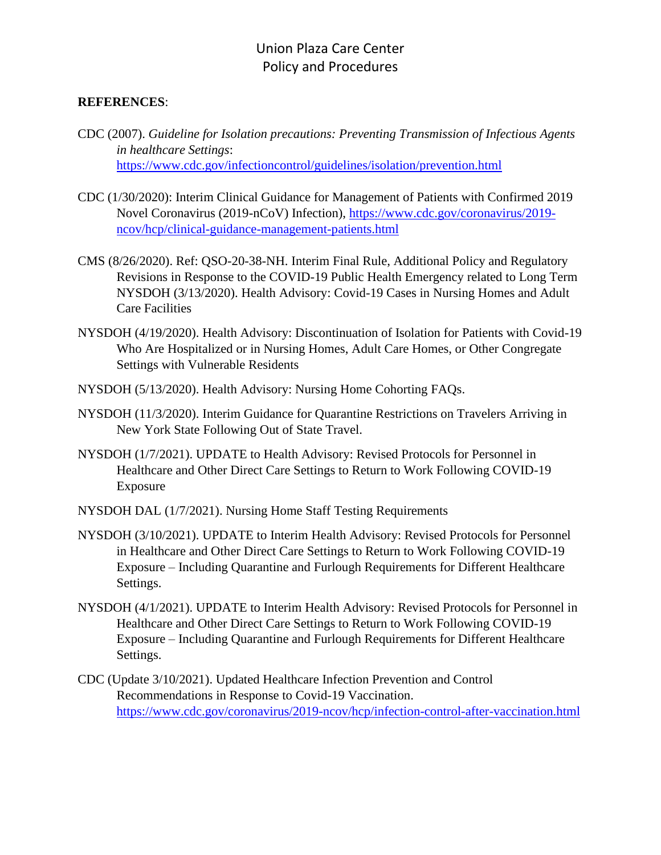#### **REFERENCES**:

- CDC (2007). *Guideline for Isolation precautions: Preventing Transmission of Infectious Agents in healthcare Settings*: <https://www.cdc.gov/infectioncontrol/guidelines/isolation/prevention.html>
- CDC (1/30/2020): Interim Clinical Guidance for Management of Patients with Confirmed 2019 Novel Coronavirus (2019-nCoV) Infection), [https://www.cdc.gov/coronavirus/2019](https://www.cdc.gov/coronavirus/2019-ncov/hcp/clinical-guidance-management-patients.html) [ncov/hcp/clinical-guidance-management-patients.html](https://www.cdc.gov/coronavirus/2019-ncov/hcp/clinical-guidance-management-patients.html)
- CMS (8/26/2020). Ref: QSO-20-38-NH. Interim Final Rule, Additional Policy and Regulatory Revisions in Response to the COVID-19 Public Health Emergency related to Long Term NYSDOH (3/13/2020). Health Advisory: Covid-19 Cases in Nursing Homes and Adult Care Facilities
- NYSDOH (4/19/2020). Health Advisory: Discontinuation of Isolation for Patients with Covid-19 Who Are Hospitalized or in Nursing Homes, Adult Care Homes, or Other Congregate Settings with Vulnerable Residents
- NYSDOH (5/13/2020). Health Advisory: Nursing Home Cohorting FAQs.
- NYSDOH (11/3/2020). Interim Guidance for Quarantine Restrictions on Travelers Arriving in New York State Following Out of State Travel.
- NYSDOH (1/7/2021). UPDATE to Health Advisory: Revised Protocols for Personnel in Healthcare and Other Direct Care Settings to Return to Work Following COVID-19 Exposure
- NYSDOH DAL (1/7/2021). Nursing Home Staff Testing Requirements
- NYSDOH (3/10/2021). UPDATE to Interim Health Advisory: Revised Protocols for Personnel in Healthcare and Other Direct Care Settings to Return to Work Following COVID-19 Exposure – Including Quarantine and Furlough Requirements for Different Healthcare Settings.
- NYSDOH (4/1/2021). UPDATE to Interim Health Advisory: Revised Protocols for Personnel in Healthcare and Other Direct Care Settings to Return to Work Following COVID-19 Exposure – Including Quarantine and Furlough Requirements for Different Healthcare Settings.
- CDC (Update 3/10/2021). Updated Healthcare Infection Prevention and Control Recommendations in Response to Covid-19 Vaccination. <https://www.cdc.gov/coronavirus/2019-ncov/hcp/infection-control-after-vaccination.html>